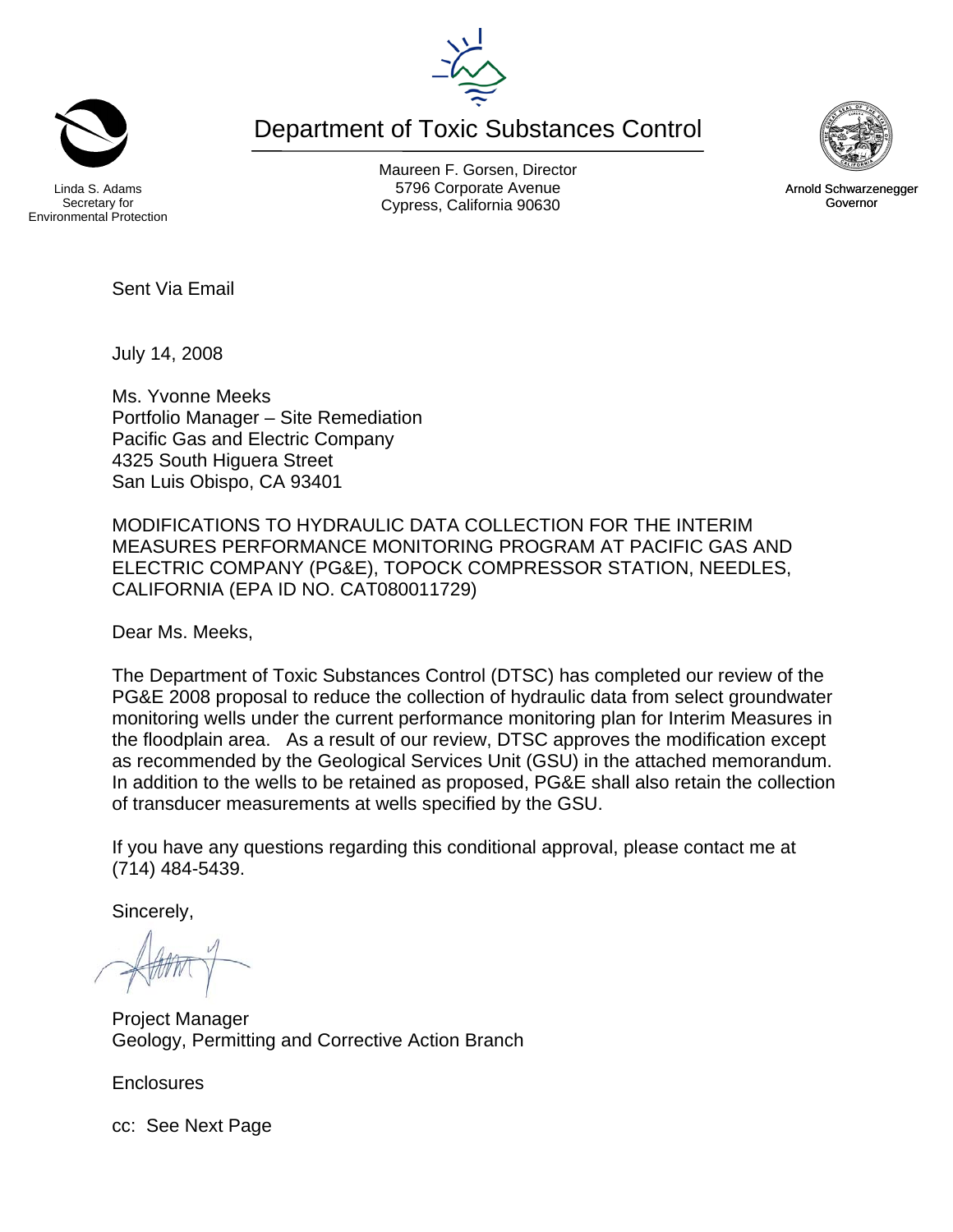Department of Toxic Substances Control



Maureen F. Gorsen, Director Linda S. Adams **Example 20 Constructs** S796 Corporate Avenu Cypress, California 90630 Governor



Arnold Schwarzenegger

Sent Via Email

July 14, 2008

Ms. Yvonne Meeks Portfolio Manager – Site Remediation Pacific Gas and Electric Company 4325 South Higuera Street San Luis Obispo, CA 93401

MODIFICATIONS TO HYDRAULIC DATA COLLECTION FOR THE INTERIM MEASURES PERFORMANCE MONITORING PROGRAM AT PACIFIC GAS AND ELECTRIC COMPANY (PG&E), TOPOCK COMPRESSOR STATION, NEEDLES, CALIFORNIA (EPA ID NO. CAT080011729)

Dear Ms. Meeks,

The Department of Toxic Substances Control (DTSC) has completed our review of the PG&E 2008 proposal to reduce the collection of hydraulic data from select groundwater monitoring wells under the current performance monitoring plan for Interim Measures in the floodplain area. As a result of our review, DTSC approves the modification except as recommended by the Geological Services Unit (GSU) in the attached memorandum. In addition to the wells to be retained as proposed, PG&E shall also retain the collection of transducer measurements at wells specified by the GSU.

If you have any questions regarding this conditional approval, please contact me at (714) 484-5439.

Sincerely,

 $-144$ 

Project Manager Geology, Permitting and Corrective Action Branch

**Enclosures** 

cc: See Next Page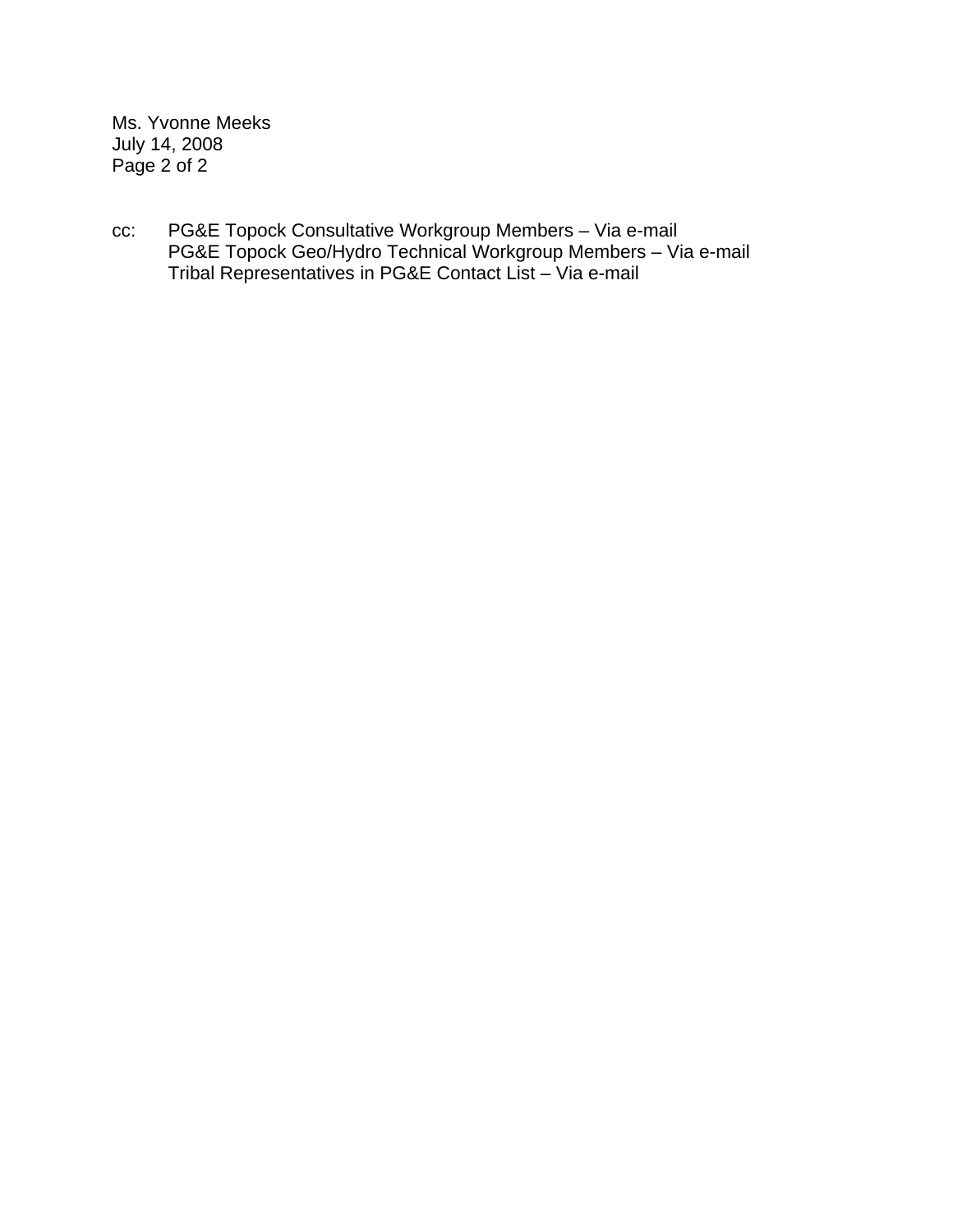Ms. Yvonne Meeks July 14, 2008 Page 2 of 2

cc: PG&E Topock Consultative Workgroup Members – Via e-mail PG&E Topock Geo/Hydro Technical Workgroup Members – Via e-mail Tribal Representatives in PG&E Contact List – Via e-mail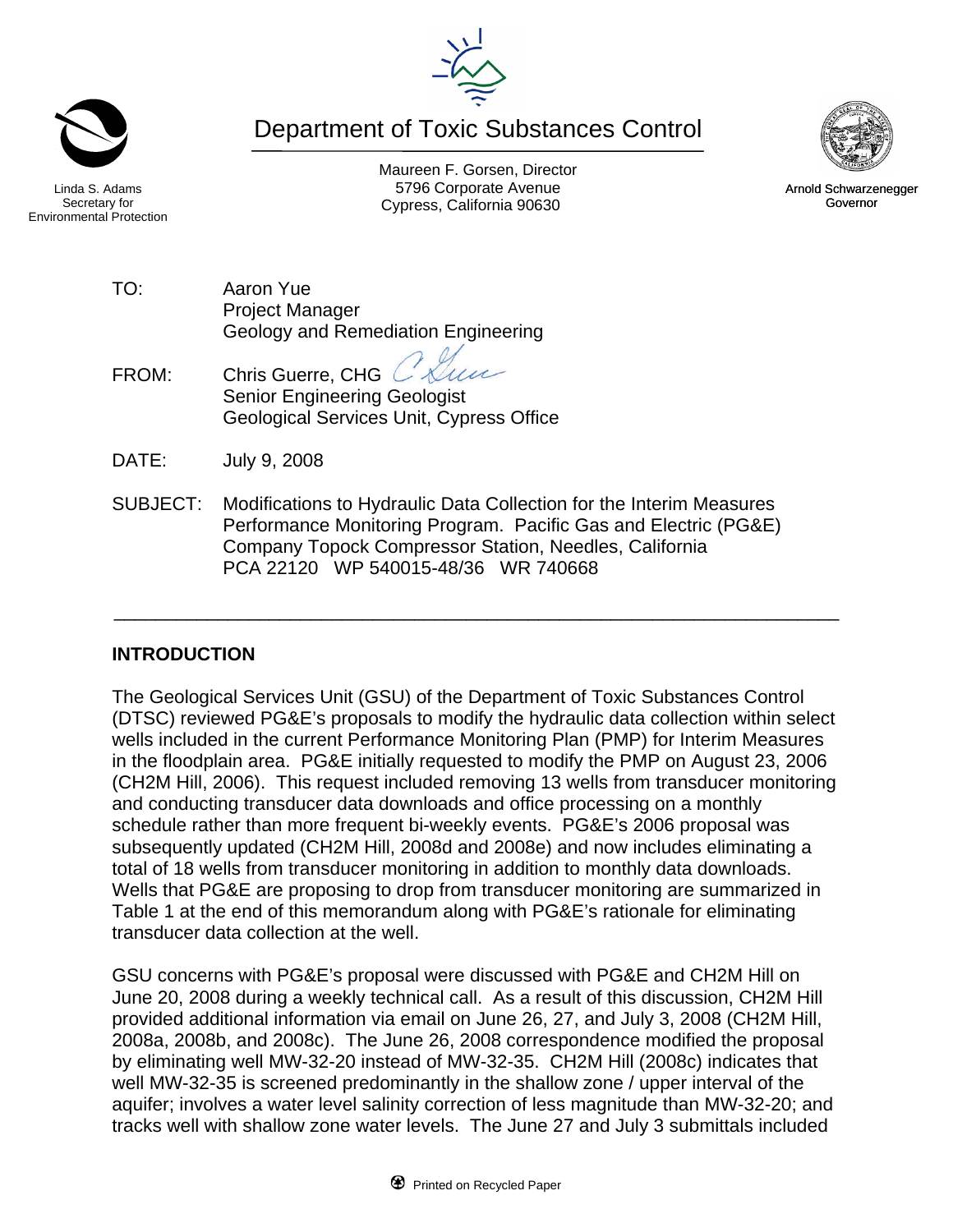Maureen F. Gorsen, Director Linda S. Adams **Example 20 Constructs** S796 Corporate Avenu Cypress, California 90630 Governor

Secretary for Environmental Protection

> TO: Aaron Yue Project Manager Geology and Remediation Engineering

FROM: Chris Guerre, CHG Senior Engineering Geologist Geological Services Unit, Cypress Office

DATE: July 9, 2008

SUBJECT: Modifications to Hydraulic Data Collection for the Interim Measures Performance Monitoring Program. Pacific Gas and Electric (PG&E) Company Topock Compressor Station, Needles, California PCA 22120 WP 540015-48/36 WR 740668

## **INTRODUCTION**

The Geological Services Unit (GSU) of the Department of Toxic Substances Control (DTSC) reviewed PG&E's proposals to modify the hydraulic data collection within select wells included in the current Performance Monitoring Plan (PMP) for Interim Measures in the floodplain area. PG&E initially requested to modify the PMP on August 23, 2006 (CH2M Hill, 2006). This request included removing 13 wells from transducer monitoring and conducting transducer data downloads and office processing on a monthly schedule rather than more frequent bi-weekly events. PG&E's 2006 proposal was subsequently updated (CH2M Hill, 2008d and 2008e) and now includes eliminating a total of 18 wells from transducer monitoring in addition to monthly data downloads. Wells that PG&E are proposing to drop from transducer monitoring are summarized in Table 1 at the end of this memorandum along with PG&E's rationale for eliminating transducer data collection at the well.

\_\_\_\_\_\_\_\_\_\_\_\_\_\_\_\_\_\_\_\_\_\_\_\_\_\_\_\_\_\_\_\_\_\_\_\_\_\_\_\_\_\_\_\_\_\_\_\_\_\_\_\_\_\_\_\_\_\_\_\_\_\_\_\_\_\_\_\_\_\_

GSU concerns with PG&E's proposal were discussed with PG&E and CH2M Hill on June 20, 2008 during a weekly technical call. As a result of this discussion, CH2M Hill provided additional information via email on June 26, 27, and July 3, 2008 (CH2M Hill, 2008a, 2008b, and 2008c). The June 26, 2008 correspondence modified the proposal by eliminating well MW-32-20 instead of MW-32-35. CH2M Hill (2008c) indicates that well MW-32-35 is screened predominantly in the shallow zone / upper interval of the aquifer; involves a water level salinity correction of less magnitude than MW-32-20; and tracks well with shallow zone water levels. The June 27 and July 3 submittals included



Arnold Schwarzenegger

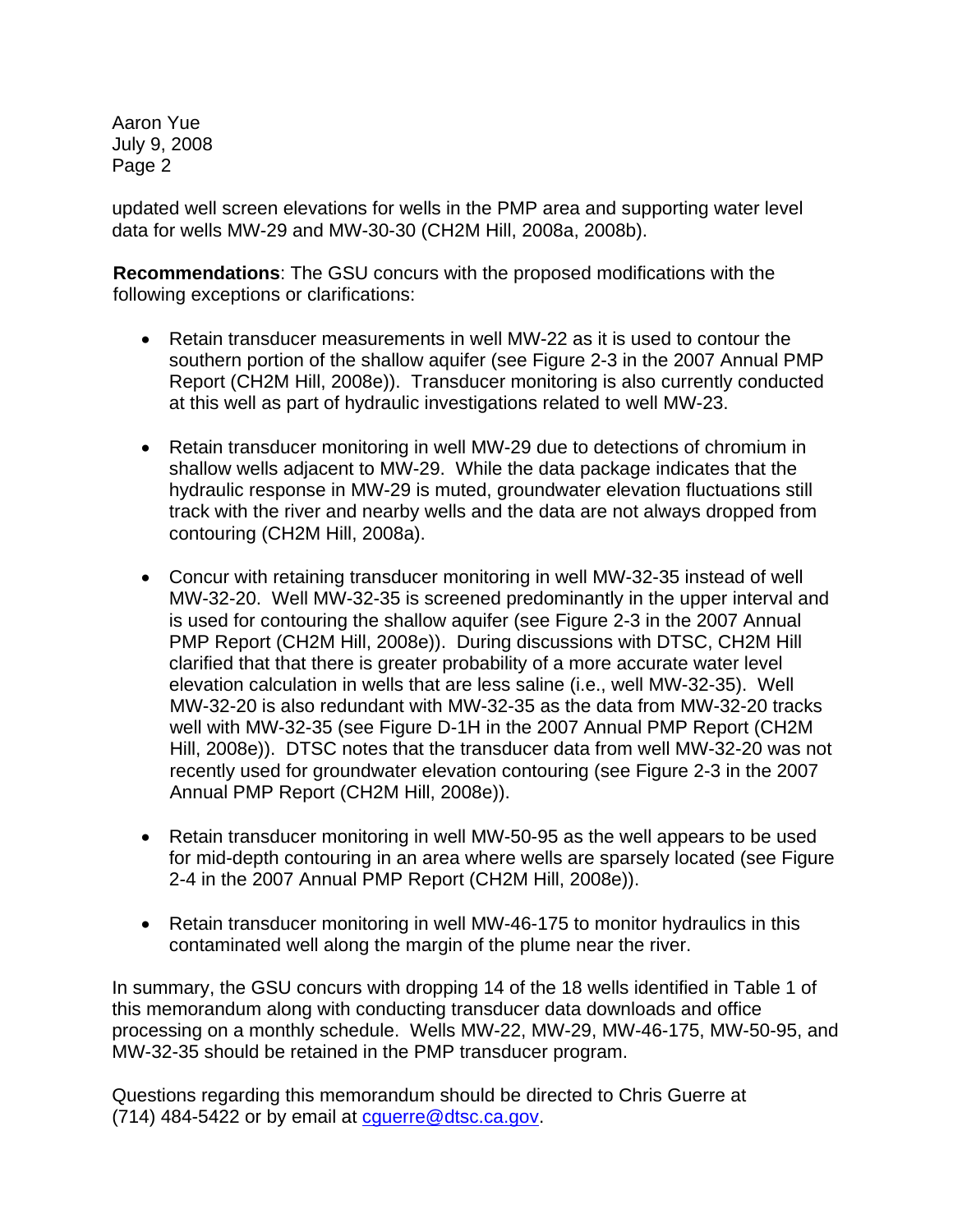Aaron Yue July 9, 2008 Page 2

updated well screen elevations for wells in the PMP area and supporting water level data for wells MW-29 and MW-30-30 (CH2M Hill, 2008a, 2008b).

**Recommendations**: The GSU concurs with the proposed modifications with the following exceptions or clarifications:

- Retain transducer measurements in well MW-22 as it is used to contour the southern portion of the shallow aquifer (see Figure 2-3 in the 2007 Annual PMP Report (CH2M Hill, 2008e)). Transducer monitoring is also currently conducted at this well as part of hydraulic investigations related to well MW-23.
- Retain transducer monitoring in well MW-29 due to detections of chromium in shallow wells adjacent to MW-29. While the data package indicates that the hydraulic response in MW-29 is muted, groundwater elevation fluctuations still track with the river and nearby wells and the data are not always dropped from contouring (CH2M Hill, 2008a).
- Concur with retaining transducer monitoring in well MW-32-35 instead of well MW-32-20. Well MW-32-35 is screened predominantly in the upper interval and is used for contouring the shallow aquifer (see Figure 2-3 in the 2007 Annual PMP Report (CH2M Hill, 2008e)). During discussions with DTSC, CH2M Hill clarified that that there is greater probability of a more accurate water level elevation calculation in wells that are less saline (i.e., well MW-32-35). Well MW-32-20 is also redundant with MW-32-35 as the data from MW-32-20 tracks well with MW-32-35 (see Figure D-1H in the 2007 Annual PMP Report (CH2M Hill, 2008e)). DTSC notes that the transducer data from well MW-32-20 was not recently used for groundwater elevation contouring (see Figure 2-3 in the 2007 Annual PMP Report (CH2M Hill, 2008e)).
- Retain transducer monitoring in well MW-50-95 as the well appears to be used for mid-depth contouring in an area where wells are sparsely located (see Figure 2-4 in the 2007 Annual PMP Report (CH2M Hill, 2008e)).
- Retain transducer monitoring in well MW-46-175 to monitor hydraulics in this contaminated well along the margin of the plume near the river.

In summary, the GSU concurs with dropping 14 of the 18 wells identified in Table 1 of this memorandum along with conducting transducer data downloads and office processing on a monthly schedule. Wells MW-22, MW-29, MW-46-175, MW-50-95, and MW-32-35 should be retained in the PMP transducer program.

Questions regarding this memorandum should be directed to Chris Guerre at (714) 484-5422 or by email at [cguerre@dtsc.ca.gov](mailto:cguerre@dtsc.ca.gov).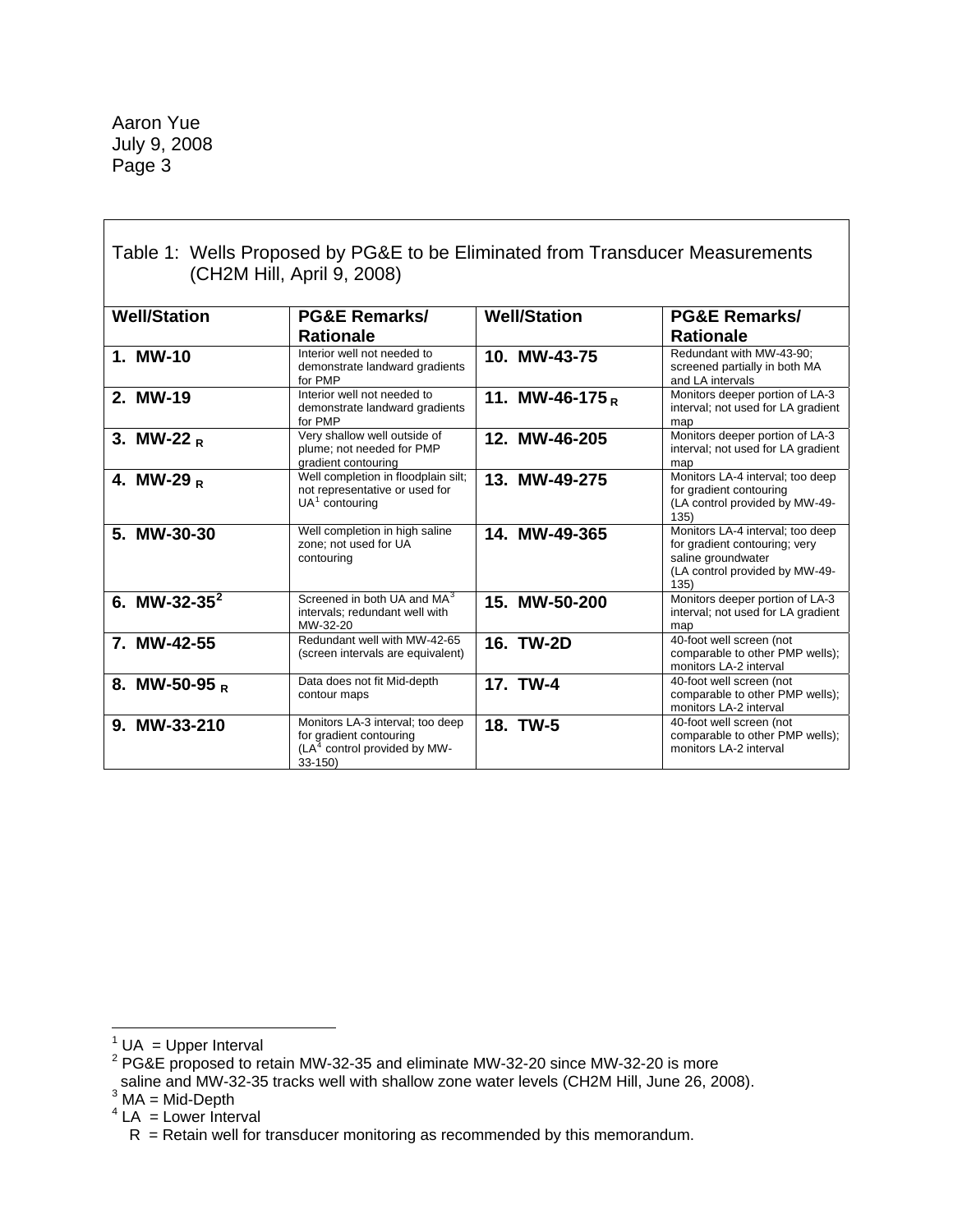Aaron Yue July 9, 2008 Page 3

 $\Gamma$ 

| Table 1: Wells Proposed by PG&E to be Eliminated from Transducer Measurements<br>(CH2M Hill, April 9, 2008) |                                                                                                           |                     |                                                                                                                                   |
|-------------------------------------------------------------------------------------------------------------|-----------------------------------------------------------------------------------------------------------|---------------------|-----------------------------------------------------------------------------------------------------------------------------------|
| <b>Well/Station</b>                                                                                         | <b>PG&amp;E Remarks/</b>                                                                                  | <b>Well/Station</b> | <b>PG&amp;E Remarks/</b>                                                                                                          |
|                                                                                                             | <b>Rationale</b>                                                                                          |                     | <b>Rationale</b>                                                                                                                  |
| 1. MW-10                                                                                                    | Interior well not needed to<br>demonstrate landward gradients<br>for PMP                                  | 10. MW-43-75        | Redundant with MW-43-90;<br>screened partially in both MA<br>and LA intervals                                                     |
| 2. MW-19                                                                                                    | Interior well not needed to<br>demonstrate landward gradients<br>for PMP                                  | 11. MW-46-175 $_R$  | Monitors deeper portion of LA-3<br>interval; not used for LA gradient<br>map                                                      |
| 3. MW-22 $_R$                                                                                               | Very shallow well outside of<br>plume; not needed for PMP<br>gradient contouring                          | 12. MW-46-205       | Monitors deeper portion of LA-3<br>interval; not used for LA gradient<br>map                                                      |
| 4. MW-29 $_R$                                                                                               | Well completion in floodplain silt;<br>not representative or used for<br>$UA1$ contouring                 | 13. MW-49-275       | Monitors LA-4 interval; too deep<br>for gradient contouring<br>(LA control provided by MW-49-<br>135)                             |
| 5. MW-30-30                                                                                                 | Well completion in high saline<br>zone; not used for UA<br>contouring                                     | 14. MW-49-365       | Monitors LA-4 interval; too deep<br>for gradient contouring; very<br>saline groundwater<br>(LA control provided by MW-49-<br>135) |
| 6. MW-32-35 $^2$                                                                                            | Screened in both UA and MA <sup>3</sup><br>intervals; redundant well with<br>MW-32-20                     | 15. MW-50-200       | Monitors deeper portion of LA-3<br>interval; not used for LA gradient<br>map                                                      |
| 7. MW-42-55                                                                                                 | Redundant well with MW-42-65<br>(screen intervals are equivalent)                                         | <b>16. TW-2D</b>    | 40-foot well screen (not<br>comparable to other PMP wells);<br>monitors LA-2 interval                                             |
| 8. MW-50-95 $_R$                                                                                            | Data does not fit Mid-depth<br>contour maps                                                               | 17. TW-4            | 40-foot well screen (not<br>comparable to other PMP wells);<br>monitors LA-2 interval                                             |
| 9. MW-33-210                                                                                                | Monitors LA-3 interval; too deep<br>for gradient contouring<br>$(LA4$ control provided by MW-<br>$33-150$ | 18. TW-5            | 40-foot well screen (not<br>comparable to other PMP wells);<br>monitors LA-2 interval                                             |

- 1 UA = Upper Interval 2 PG&E proposed to retain MW-32-35 and eliminate MW-32-20 since MW-32-20 is more
- saline and MW-32-35 tracks well with shallow zone water levels (CH2M Hill, June 26, 2008).<br><sup>3</sup> MA = Mid-Depth
- <span id="page-4-2"></span>
- <span id="page-4-3"></span> $4$  LA = Lower Interval

<span id="page-4-1"></span><span id="page-4-0"></span>

 $R$  = Retain well for transducer monitoring as recommended by this memorandum.